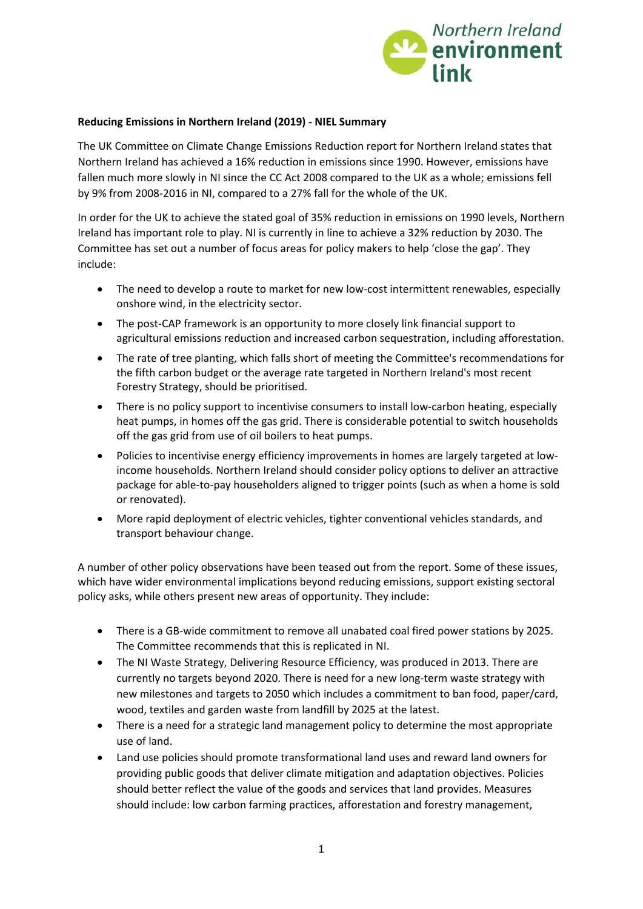

## **Reducing Emissions in Northern Ireland (2019) ‐ NIEL Summary**

The UK Committee on Climate Change Emissions Reduction report for Northern Ireland states that Northern Ireland has achieved a 16% reduction in emissions since 1990. However, emissions have fallen much more slowly in NI since the CC Act 2008 compared to the UK as a whole; emissions fell by 9% from 2008‐2016 in NI, compared to a 27% fall for the whole of the UK.

In order for the UK to achieve the stated goal of 35% reduction in emissions on 1990 levels, Northern Ireland has important role to play. NI is currently in line to achieve a 32% reduction by 2030. The Committee has set out a number of focus areas for policy makers to help 'close the gap'. They include:

- The need to develop a route to market for new low-cost intermittent renewables, especially onshore wind, in the electricity sector.
- The post-CAP framework is an opportunity to more closely link financial support to agricultural emissions reduction and increased carbon sequestration, including afforestation.
- The rate of tree planting, which falls short of meeting the Committee's recommendations for the fifth carbon budget or the average rate targeted in Northern Ireland's most recent Forestry Strategy, should be prioritised.
- There is no policy support to incentivise consumers to install low-carbon heating, especially heat pumps, in homes off the gas grid. There is considerable potential to switch households off the gas grid from use of oil boilers to heat pumps.
- Policies to incentivise energy efficiency improvements in homes are largely targeted at lowincome households. Northern Ireland should consider policy options to deliver an attractive package for able‐to‐pay householders aligned to trigger points (such as when a home is sold or renovated).
- More rapid deployment of electric vehicles, tighter conventional vehicles standards, and transport behaviour change.

A number of other policy observations have been teased out from the report. Some of these issues, which have wider environmental implications beyond reducing emissions, support existing sectoral policy asks, while others present new areas of opportunity. They include:

- There is a GB‐wide commitment to remove all unabated coal fired power stations by 2025. The Committee recommends that this is replicated in NI.
- The NI Waste Strategy, Delivering Resource Efficiency, was produced in 2013. There are currently no targets beyond 2020. There is need for a new long-term waste strategy with new milestones and targets to 2050 which includes a commitment to ban food, paper/card, wood, textiles and garden waste from landfill by 2025 at the latest.
- There is a need for a strategic land management policy to determine the most appropriate use of land.
- Land use policies should promote transformational land uses and reward land owners for providing public goods that deliver climate mitigation and adaptation objectives. Policies should better reflect the value of the goods and services that land provides. Measures should include: low carbon farming practices, afforestation and forestry management,